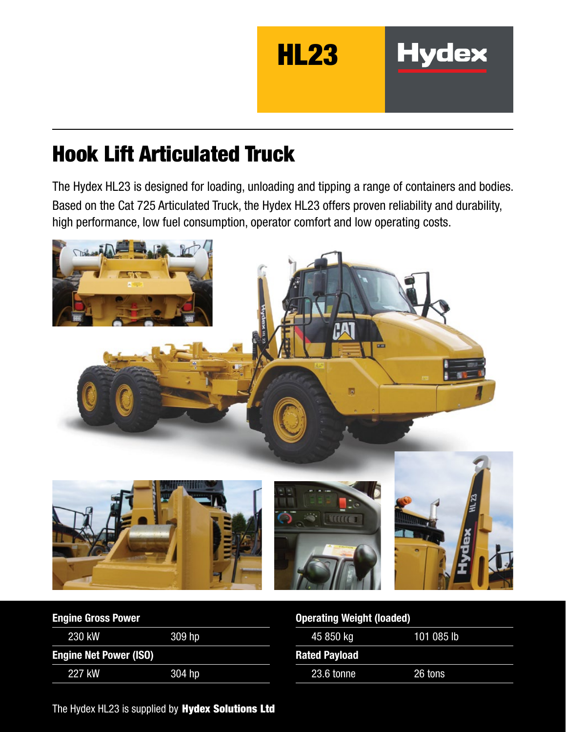

**Hydex** 

# Hook Lift Articulated Truck

The Hydex HL23 is designed for loading, unloading and tipping a range of containers and bodies. Based on the Cat 725 Articulated Truck, the Hydex HL23 offers proven reliability and durability, high performance, low fuel consumption, operator comfort and low operating costs.



| <b>Engine Gross Power</b>     |          |
|-------------------------------|----------|
| 230 kW                        | 309 hp   |
| <b>Engine Net Power (ISO)</b> |          |
| 227 kW                        | $304$ hp |

### Operating Weight (loaded)

| 45 850 kg            | 101 085 lb |
|----------------------|------------|
| <b>Rated Payload</b> |            |
| 23.6 tonne           | 26 tons    |

The Hydex HL23 is supplied by Hydex Solutions Ltd